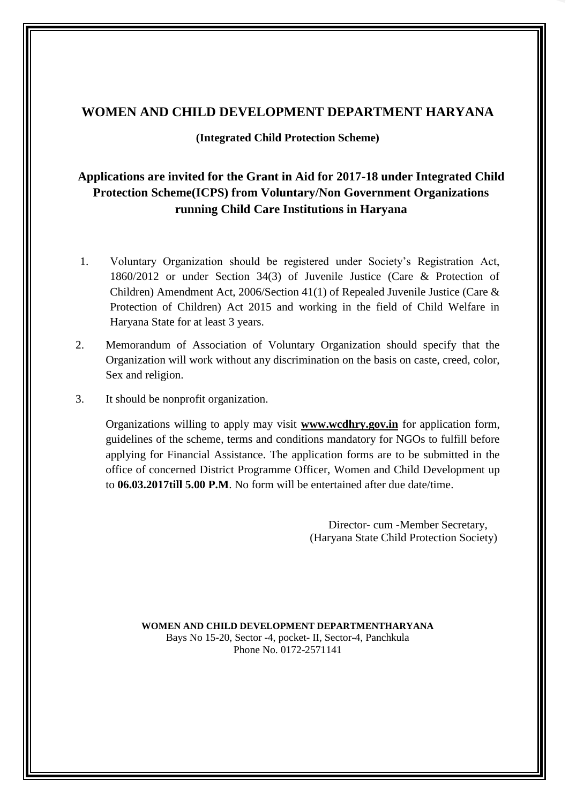## **WOMEN AND CHILD DEVELOPMENT DEPARTMENT HARYANA**

## **(Integrated Child Protection Scheme)**

## **Applications are invited for the Grant in Aid for 2017-18 under Integrated Child Protection Scheme(ICPS) from Voluntary/Non Government Organizations running Child Care Institutions in Haryana**

- 1860/2012 or under Section 34(3) of Juvenile Justice (Care & Protection of Protection of Children) Act 2015 and working in the field of Child Welfare in 1. Voluntary Organization should be registered under Society's Registration Act, Children) Amendment Act, 2006/Section 41(1) of Repealed Juvenile Justice (Care & Haryana State for at least 3 years.
- 2. Memorandum of Association of Voluntary Organization should specify that the Organization will work without any discrimination on the basis on caste, creed, color, Sex and religion.
- 3. It should be nonprofit organization.

 Organizations willing to apply may visit **[www.wcdhry.gov.in](http://www.wcdhry.gov.in/)** for application form, guidelines of the scheme, terms and conditions mandatory for NGOs to fulfill before applying for Financial Assistance. The application forms are to be submitted in the office of concerned District Programme Officer, Women and Child Development up to **06.03.2017till 5.00 P.M**. No form will be entertained after due date/time.

> Director- cum -Member Secretary, (Haryana State Child Protection Society)

 Bays No 15-20, Sector -4, pocket- II, Sector-4, Panchkula **WOMEN AND CHILD DEVELOPMENT DEPARTMENTHARYANA**  Phone No. 0172-2571141